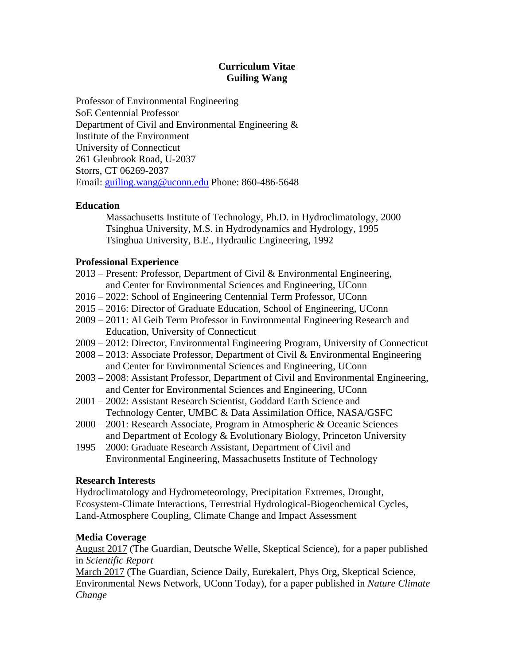# **Curriculum Vitae Guiling Wang**

Professor of Environmental Engineering SoE Centennial Professor Department of Civil and Environmental Engineering & Institute of the Environment University of Connecticut 261 Glenbrook Road, U-2037 Storrs, CT 06269-2037 Email: [guiling.wang@uconn.edu](mailto:guiling.wang@uconn.edu) Phone: 860-486-5648

# **Education**

Massachusetts Institute of Technology, Ph.D. in Hydroclimatology, 2000 Tsinghua University, M.S. in Hydrodynamics and Hydrology, 1995 Tsinghua University, B.E., Hydraulic Engineering, 1992

# **Professional Experience**

- 2013 Present: Professor, Department of Civil & Environmental Engineering, and Center for Environmental Sciences and Engineering, UConn
- 2016 2022: School of Engineering Centennial Term Professor, UConn
- 2015 2016: Director of Graduate Education, School of Engineering, UConn
- 2009 2011: Al Geib Term Professor in Environmental Engineering Research and Education, University of Connecticut
- 2009 2012: Director, Environmental Engineering Program, University of Connecticut
- 2008 2013: Associate Professor, Department of Civil & Environmental Engineering and Center for Environmental Sciences and Engineering, UConn
- 2003 2008: Assistant Professor, Department of Civil and Environmental Engineering, and Center for Environmental Sciences and Engineering, UConn
- 2001 2002: Assistant Research Scientist, Goddard Earth Science and Technology Center, UMBC & Data Assimilation Office, NASA/GSFC
- 2000 2001: Research Associate, Program in Atmospheric & Oceanic Sciences and Department of Ecology & Evolutionary Biology, Princeton University
- 1995 2000: Graduate Research Assistant, Department of Civil and Environmental Engineering, Massachusetts Institute of Technology

## **Research Interests**

Hydroclimatology and Hydrometeorology, Precipitation Extremes, Drought, Ecosystem-Climate Interactions, Terrestrial Hydrological-Biogeochemical Cycles, Land-Atmosphere Coupling, Climate Change and Impact Assessment

# **Media Coverage**

August 2017 (The Guardian, Deutsche Welle, Skeptical Science), for a paper published in *Scientific Report*

March 2017 (The Guardian, Science Daily, Eurekalert, Phys Org, Skeptical Science, Environmental News Network, UConn Today), for a paper published in *Nature Climate Change*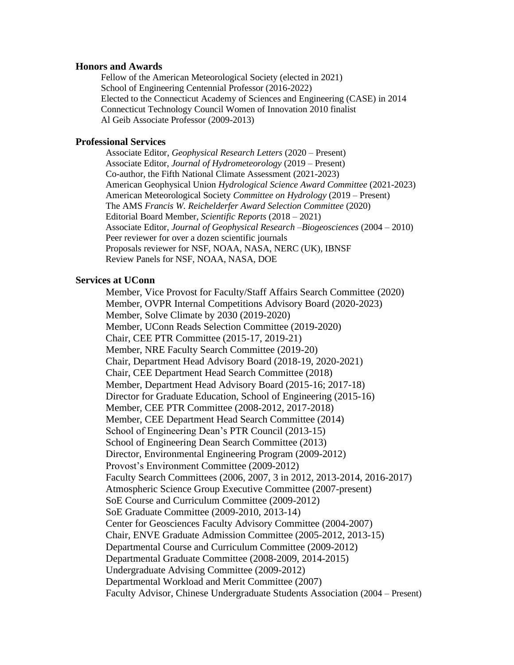#### **Honors and Awards**

 Fellow of the American Meteorological Society (elected in 2021) School of Engineering Centennial Professor (2016-2022) Elected to the Connecticut Academy of Sciences and Engineering (CASE) in 2014 Connecticut Technology Council Women of Innovation 2010 finalist Al Geib Associate Professor (2009-2013)

#### **Professional Services**

Associate Editor, *Geophysical Research Letters* (2020 – Present) Associate Editor, *Journal of Hydrometeorology* (2019 – Present) Co-author, the Fifth National Climate Assessment (2021-2023) American Geophysical Union *Hydrological Science Award Committee* (2021-2023) American Meteorological Society *Committee on Hydrology* (2019 – Present) The AMS *Francis W. Reichelderfer Award Selection Committee* (2020) Editorial Board Member, *Scientific Reports* (2018 – 2021) Associate Editor, *Journal of Geophysical Research –Biogeosciences* (2004 – 2010) Peer reviewer for over a dozen scientific journals Proposals reviewer for NSF, NOAA, NASA, NERC (UK), IBNSF Review Panels for NSF, NOAA, NASA, DOE

## **Services at UConn**

Member, Vice Provost for Faculty/Staff Affairs Search Committee (2020) Member, OVPR Internal Competitions Advisory Board (2020-2023) Member, Solve Climate by 2030 (2019-2020) Member, UConn Reads Selection Committee (2019-2020) Chair, CEE PTR Committee (2015-17, 2019-21) Member, NRE Faculty Search Committee (2019-20) Chair, Department Head Advisory Board (2018-19, 2020-2021) Chair, CEE Department Head Search Committee (2018) Member, Department Head Advisory Board (2015-16; 2017-18) Director for Graduate Education, School of Engineering (2015-16) Member, CEE PTR Committee (2008-2012, 2017-2018) Member, CEE Department Head Search Committee (2014) School of Engineering Dean's PTR Council (2013-15) School of Engineering Dean Search Committee (2013) Director, Environmental Engineering Program (2009-2012) Provost's Environment Committee (2009-2012) Faculty Search Committees (2006, 2007, 3 in 2012, 2013-2014, 2016-2017) Atmospheric Science Group Executive Committee (2007-present) SoE Course and Curriculum Committee (2009-2012) SoE Graduate Committee (2009-2010, 2013-14) Center for Geosciences Faculty Advisory Committee (2004-2007) Chair, ENVE Graduate Admission Committee (2005-2012, 2013-15) Departmental Course and Curriculum Committee (2009-2012) Departmental Graduate Committee (2008-2009, 2014-2015) Undergraduate Advising Committee (2009-2012) Departmental Workload and Merit Committee (2007) Faculty Advisor, Chinese Undergraduate Students Association (2004 – Present)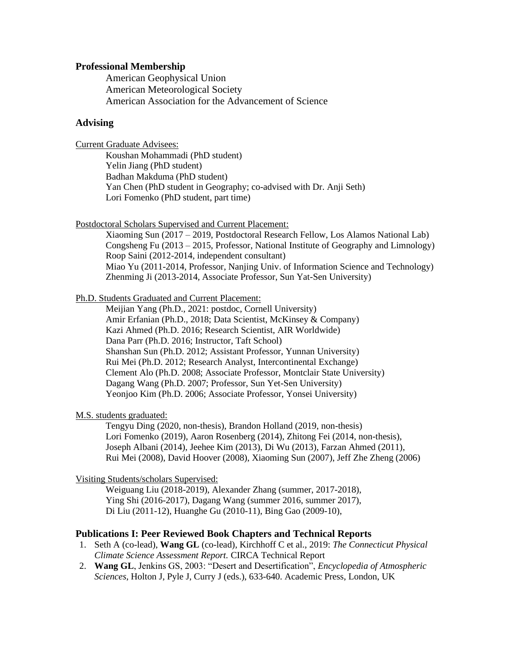## **Professional Membership**

American Geophysical Union American Meteorological Society American Association for the Advancement of Science

## **Advising**

Current Graduate Advisees:

Koushan Mohammadi (PhD student) Yelin Jiang (PhD student) Badhan Makduma (PhD student) Yan Chen (PhD student in Geography; co-advised with Dr. Anji Seth) Lori Fomenko (PhD student, part time)

Postdoctoral Scholars Supervised and Current Placement:

Xiaoming Sun (2017 – 2019, Postdoctoral Research Fellow, Los Alamos National Lab) Congsheng Fu (2013 – 2015, Professor, National Institute of Geography and Limnology) Roop Saini (2012-2014, independent consultant) Miao Yu (2011-2014, Professor, Nanjing Univ. of Information Science and Technology) Zhenming Ji (2013-2014, Associate Professor, Sun Yat-Sen University)

Ph.D. Students Graduated and Current Placement:

Meijian Yang (Ph.D., 2021: postdoc, Cornell University) Amir Erfanian (Ph.D., 2018; Data Scientist, McKinsey & Company) Kazi Ahmed (Ph.D. 2016; Research Scientist, AIR Worldwide) Dana Parr (Ph.D. 2016; Instructor, Taft School) Shanshan Sun (Ph.D. 2012; Assistant Professor, Yunnan University) Rui Mei (Ph.D. 2012; Research Analyst, Intercontinental Exchange) Clement Alo (Ph.D. 2008; Associate Professor, Montclair State University) Dagang Wang (Ph.D. 2007; Professor, Sun Yet-Sen University) Yeonjoo Kim (Ph.D. 2006; Associate Professor, Yonsei University)

M.S. students graduated:

Tengyu Ding (2020, non-thesis), Brandon Holland (2019, non-thesis) Lori Fomenko (2019), Aaron Rosenberg (2014), Zhitong Fei (2014, non-thesis), Joseph Albani (2014), Jeehee Kim (2013), Di Wu (2013), Farzan Ahmed (2011), Rui Mei (2008), David Hoover (2008), Xiaoming Sun (2007), Jeff Zhe Zheng (2006)

Visiting Students/scholars Supervised:

Weiguang Liu (2018-2019), Alexander Zhang (summer, 2017-2018), Ying Shi (2016-2017), Dagang Wang (summer 2016, summer 2017), Di Liu (2011-12), Huanghe Gu (2010-11), Bing Gao (2009-10),

## **Publications I: Peer Reviewed Book Chapters and Technical Reports**

- 1. Seth A (co-lead), **Wang GL** (co-lead), Kirchhoff C et al., 2019: *The Connecticut Physical Climate Science Assessment Report.* CIRCA Technical Report
- 2. **Wang GL**, Jenkins GS, 2003: "Desert and Desertification", *Encyclopedia of Atmospheric Sciences*, Holton J, Pyle J, Curry J (eds.), 633-640. Academic Press, London, UK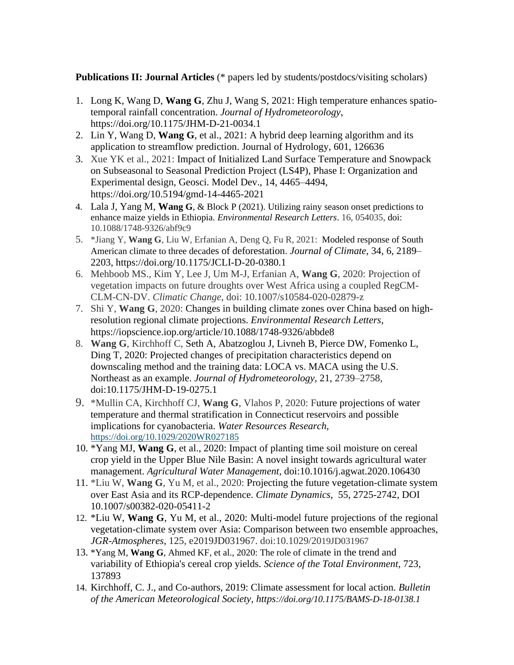**Publications II: Journal Articles** (\* papers led by students/postdocs/visiting scholars)

- 1. Long K, Wang D, **Wang G**, Zhu J, Wang S, 2021: High temperature enhances spatiotemporal rainfall concentration. *Journal of Hydrometeorology*, https://doi.org/10.1175/JHM-D-21-0034.1
- 2. Lin Y, Wang D, **Wang G**, et al., 2021: A hybrid deep learning algorithm and its application to streamflow prediction. Journal of Hydrology, 601, 126636
- 3. Xue YK et al., 2021: Impact of Initialized Land Surface Temperature and Snowpack on Subseasonal to Seasonal Prediction Project (LS4P), Phase I: Organization and Experimental design, Geosci. Model Dev., 14, 4465–4494, https://doi.org/10.5194/gmd-14-4465-2021
- 4. Lala J, Yang M, **Wang G**, & Block P (2021). Utilizing rainy season onset predictions to enhance maize yields in Ethiopia. *Environmental Research Letters*. 16, 054035, doi: 10.1088/1748-9326/abf9c9
- 5. \*Jiang Y, **Wang G**, Liu W, Erfanian A, Deng Q, Fu R, 2021: Modeled response of South American climate to three decades of deforestation. *Journal of Climate*, 34, 6, 2189– 2203, https://doi.org/10.1175/JCLI-D-20-0380.1
- 6. Mehboob MS., Kim Y, Lee J, Um M-J, Erfanian A, **Wang G**, 2020: Projection of vegetation impacts on future droughts over West Africa using a coupled RegCM-CLM-CN-DV. *Climatic Change*, doi: 10.1007/s10584-020-02879-z
- 7. Shi Y, **Wang G**, 2020: Changes in building climate zones over China based on highresolution regional climate projections. *Environmental Research Letters*, https://iopscience.iop.org/article/10.1088/1748-9326/abbde8
- 8. **Wang G**, Kirchhoff C, Seth A, Abatzoglou J, Livneh B, Pierce DW, Fomenko L, Ding T, 2020: Projected changes of precipitation characteristics depend on downscaling method and the training data: LOCA vs. MACA using the U.S. Northeast as an example. *Journal of Hydrometeorology*, 21, 2739–2758, doi:10.1175/JHM-D-19-0275.1
- 9. \*Mullin CA, Kirchhoff CJ, **Wang G**, Vlahos P, 2020: Future projections of water temperature and thermal stratification in Connecticut reservoirs and possible implications for cyanobacteria. *Water Resources Research*, https://doi.org/10.1029/2020WR027185
- 10. \*Yang MJ, **Wang G**, et al., 2020: Impact of planting time soil moisture on cereal crop yield in the Upper Blue Nile Basin: A novel insight towards agricultural water management. *Agricultural Water Management*, doi:10.1016/j.agwat.2020.106430
- 11. \*Liu W, **Wang G**, Yu M, et al., 2020: Projecting the future vegetation-climate system over East Asia and its RCP-dependence. *Climate Dynamics*, 55, 2725-2742, DOI 10.1007/s00382-020-05411-2
- 12. \*Liu W, **Wang G**, Yu M, et al., 2020: Multi-model future projections of the regional vegetation-climate system over Asia: Comparison between two ensemble approaches, *JGR-Atmospheres*, 125, e2019JD031967. doi:10.1029/2019JD031967
- 13. \*Yang M, **Wang G**, Ahmed KF, et al., 2020: The role of climate in the trend and variability of Ethiopia's cereal crop yields. *Science of the Total Environment,* 723, 137893
- 14. Kirchhoff, C. J., and Co-authors, 2019: Climate assessment for local action. *Bulletin of the American Meteorological Society, https://doi.org/10.1175/BAMS-D-18-0138.1*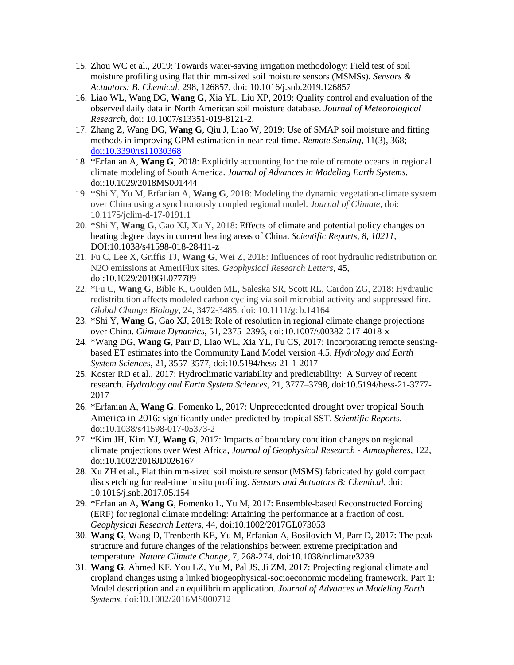- 15. Zhou WC et al., 2019: Towards water-saving irrigation methodology: Field test of soil moisture profiling using flat thin mm-sized soil moisture sensors (MSMSs). *Sensors & Actuators: B. Chemical,* 298, 126857, doi: 10.1016/j.snb.2019.126857
- 16. Liao WL, Wang DG, **Wang G**, Xia YL, Liu XP, 2019: Quality control and evaluation of the observed daily data in North American soil moisture database. *Journal of Meteorological Research*, doi: 10.1007/s13351-019-8121-2.
- 17. Zhang Z, Wang DG, **Wang G**, Qiu J, Liao W, 2019: Use of SMAP soil moisture and fitting methods in improving GPM estimation in near real time. *Remote Sensing,* 11(3), 368; [doi:10.3390/rs11030368](https://na01.safelinks.protection.outlook.com/?url=http%3A%2F%2Fdx.doi.org%2F10.3390%2Frs11030368&data=02%7C01%7Cguiling.wang%40uconn.edu%7Cada041870c464eff58ba08d6931e814f%7C17f1a87e2a254eaab9df9d439034b080%7C0%7C0%7C636858156591234282&sdata=3EJH944XJ4WKffr8RN3qzTvhZPT79NC54dPJ5RsvkYI%3D&reserved=0)
- 18. \*Erfanian A, **Wang G**, 2018: Explicitly accounting for the role of remote oceans in regional climate modeling of South America. *Journal of Advances in Modeling Earth Systems,* [doi:10.1029/2018MS001444](https://doi.org/10.1029/2018MS001444)
- 19. \*Shi Y, Yu M, Erfanian A, **Wang G**, 2018: Modeling the dynamic vegetation-climate system over China using a synchronously coupled regional model. *Journal of Climate*, doi: 10.1175/jclim-d-17-0191.1
- 20. \*Shi Y, **Wang G**, Gao XJ, Xu Y, 2018: Effects of climate and potential policy changes on heating degree days in current heating areas of China. *Scientific Reports*, *8, 10211,*  DOI:10.1038/s41598-018-28411-z
- 21. Fu C, Lee X, Griffis TJ, **Wang G**, Wei Z, 2018: Influences of root hydraulic redistribution on N2O emissions at AmeriFlux sites. *Geophysical Research Letters*, 45, doi:10.1029/2018GL077789
- 22. \*Fu C, **Wang G**, Bible K, Goulden ML, Saleska SR, Scott RL, Cardon ZG, 2018: Hydraulic redistribution affects modeled carbon cycling via soil microbial activity and suppressed fire. *Global Change Biology*, 24, 3472-3485, doi: 10.1111/gcb.14164
- 23. \*Shi Y, **Wang G**, Gao XJ, 2018: Role of resolution in regional climate change projections over China. *Climate Dynamics*, 51, 2375–2396, doi:10.1007/s00382-017-4018-x
- 24. \*Wang DG, **Wang G**, Parr D, Liao WL, Xia YL, Fu CS, 2017: Incorporating remote sensingbased ET estimates into the Community Land Model version 4.5. *Hydrology and Earth System Sciences*, 21, 3557-3577, doi:10.5194/hess-21-1-2017
- 25. Koster RD et al., 2017: Hydroclimatic variability and predictability: A Survey of recent research. *Hydrology and Earth System Sciences*, 21, 3777–3798, doi:10.5194/hess-21-3777- 2017
- 26. \*Erfanian A, **Wang G**, Fomenko L, 2017: Unprecedented drought over tropical South America in 2016: significantly under-predicted by tropical SST. *Scientific Report*s, doi:10.1038/s41598-017-05373-2
- 27. \*Kim JH, Kim YJ, **Wang G**, 2017: Impacts of boundary condition changes on regional climate projections over West Africa, *Journal of Geophysical Research - Atmospheres*, 122, doi:10.1002/2016JD026167
- 28. Xu ZH et al., Flat thin mm-sized soil moisture sensor (MSMS) fabricated by gold compact discs etching for real-time in situ profiling. *Sensors and Actuators B: Chemical*, doi: 10.1016/j.snb.2017.05.154
- 29. \*Erfanian A, **Wang G**, Fomenko L, Yu M, 2017: Ensemble-based Reconstructed Forcing (ERF) for regional climate modeling: Attaining the performance at a fraction of cost. *Geophysical Research Letters*, 44, doi:10.1002/2017GL073053
- 30. **Wang G**, Wang D, Trenberth KE, Yu M, Erfanian A, Bosilovich M, Parr D, 2017: The peak structure and future changes of the relationships between extreme precipitation and temperature. *Nature Climate Change*, 7, 268-274, doi:10.1038/nclimate3239
- 31. **Wang G**, Ahmed KF, You LZ, Yu M, Pal JS, Ji ZM, 2017: Projecting regional climate and cropland changes using a linked biogeophysical-socioeconomic modeling framework. Part 1: Model description and an equilibrium application. *Journal of Advances in Modeling Earth Systems,* doi:10.1002/2016MS000712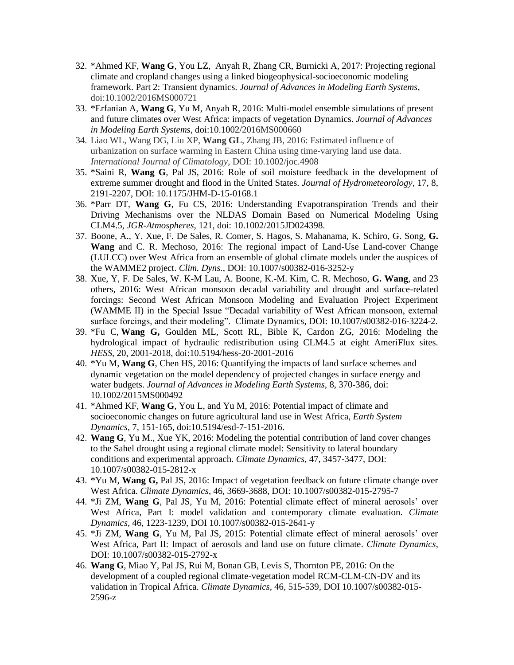- 32. \*Ahmed KF, **Wang G**, You LZ, Anyah R, Zhang CR, Burnicki A, 2017: Projecting regional climate and cropland changes using a linked biogeophysical-socioeconomic modeling framework. Part 2: Transient dynamics. *Journal of Advances in Modeling Earth Systems,*  doi:10.1002/2016MS000721
- 33. \*Erfanian A, **Wang G**, Yu M, Anyah R, 2016: Multi-model ensemble simulations of present and future climates over West Africa: impacts of vegetation Dynamics. *Journal of Advances in Modeling Earth Systems*, doi:10.1002/2016MS000660
- 34. Liao WL, Wang DG, Liu XP, **Wang GL**, Zhang JB, 2016: Estimated influence of urbanization on surface warming in Eastern China using time‐varying land use data. *International Journal of Climatology*, DOI: 10.1002/joc.4908
- 35. \*Saini R, **Wang G**, Pal JS, 2016: Role of soil moisture feedback in the development of extreme summer drought and flood in the United States. *Journal of Hydrometeorology*, 17, 8, 2191-2207, DOI: 10.1175/JHM-D-15-0168.1
- 36. \*Parr DT, **Wang G**, Fu CS, 2016: Understanding Evapotranspiration Trends and their Driving Mechanisms over the NLDAS Domain Based on Numerical Modeling Using CLM4.5, *JGR-Atmospheres,* 121, doi: 10.1002/2015JD024398.
- 37. Boone, A., Y. Xue, F. De Sales, R. Comer, S. Hagos, S. Mahanama, K. Schiro, G. Song, **G. Wang** and C. R. Mechoso, 2016: The regional impact of Land-Use Land-cover Change (LULCC) over West Africa from an ensemble of global climate models under the auspices of the WAMME2 project. *Clim. Dyns.*, DOI: 10.1007/s00382-016-3252-y
- 38. Xue, Y, F. De Sales, W. K-M Lau, A. Boone, K.-M. Kim, C. R. Mechoso, **G. Wang**, and 23 others, 2016: West African monsoon decadal variability and drought and surface-related forcings: Second West African Monsoon Modeling and Evaluation Project Experiment (WAMME II) in the Special Issue "Decadal variability of West African monsoon, external surface forcings, and their modeling". Climate Dynamics, DOI: 10.1007/s00382-016-3224-2.
- 39. \*Fu C, **Wang G,** Goulden ML, Scott RL, Bible K, Cardon ZG, 2016: Modeling the hydrological impact of hydraulic redistribution using CLM4.5 at eight AmeriFlux sites. *HESS*, 20, 2001-2018, doi:10.5194/hess-20-2001-2016
- 40. \*Yu M, **Wang G**, Chen HS, 2016: Quantifying the impacts of land surface schemes and dynamic vegetation on the model dependency of projected changes in surface energy and water budgets. *Journal of Advances in Modeling Earth Systems,* 8, 370-386, doi: 10.1002/2015MS000492
- 41. \*Ahmed KF, **Wang G**, You L, and Yu M, 2016: Potential impact of climate and socioeconomic changes on future agricultural land use in West Africa, *Earth System Dynamics*, 7, 151-165, doi:10.5194/esd-7-151-2016.
- 42. **Wang G**, Yu M., Xue YK, 2016: Modeling the potential contribution of land cover changes to the Sahel drought using a regional climate model: Sensitivity to lateral boundary conditions and experimental approach. *Climate Dynamics*, 47, 3457-3477, DOI: 10.1007/s00382-015-2812-x
- 43. \*Yu M, **Wang G,** Pal JS, 2016: Impact of vegetation feedback on future climate change over West Africa. *Climate Dynamics*, 46, 3669-3688, DOI: 10.1007/s00382-015-2795-7
- 44. \*Ji ZM, **Wang G**, Pal JS, Yu M, 2016: Potential climate effect of mineral aerosols' over West Africa, Part I: model validation and contemporary climate evaluation. *Climate Dynamics*, 46, 1223-1239, DOI 10.1007/s00382-015-2641-y
- 45. \*Ji ZM, **Wang G**, Yu M, Pal JS, 2015: Potential climate effect of mineral aerosols' over West Africa, Part II: Impact of aerosols and land use on future climate. *Climate Dynamics*, DOI: 10.1007/s00382-015-2792-x
- 46. **Wang G**, Miao Y, Pal JS, Rui M, Bonan GB, Levis S, Thornton PE, 2016: On the development of a coupled regional climate-vegetation model RCM-CLM-CN-DV and its validation in Tropical Africa. *Climate Dynamics*, 46, 515-539, DOI 10.1007/s00382-015- 2596-z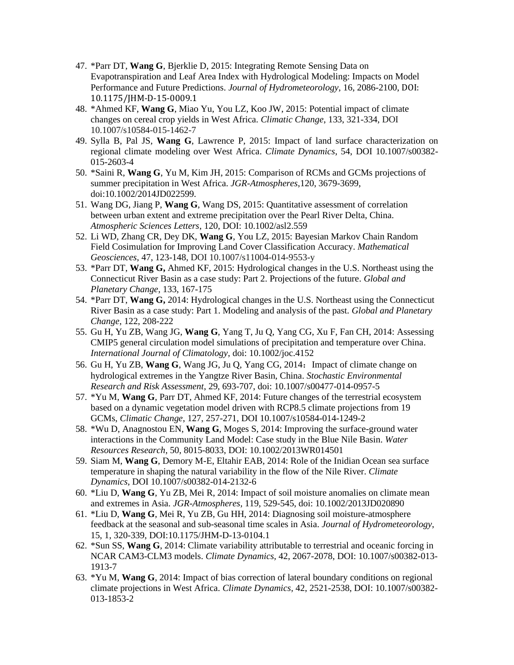- 47. \*Parr DT, **Wang G**, Bjerklie D, 2015: Integrating Remote Sensing Data on Evapotranspiration and Leaf Area Index with Hydrological Modeling: Impacts on Model Performance and Future Predictions. *Journal of Hydrometeorology*, 16, 2086-2100, DOI: 10.1175/JHM-D-15-0009.1
- 48. \*Ahmed KF, **Wang G**, Miao Yu, You LZ, Koo JW, 2015: Potential impact of climate changes on cereal crop yields in West Africa. *Climatic Change*, 133, 321-334, DOI 10.1007/s10584-015-1462-7
- 49. Sylla B, Pal JS, **Wang G**, Lawrence P, 2015: Impact of land surface characterization on regional climate modeling over West Africa. *Climate Dynamics*, 54, DOI 10.1007/s00382- 015-2603-4
- 50. \*Saini R, **Wang G**, Yu M, Kim JH, 2015: Comparison of RCMs and GCMs projections of summer precipitation in West Africa. *JGR-Atmospheres*,120, 3679-3699, doi:10.1002/2014JD022599.
- 51. Wang DG, Jiang P, **Wang G**, Wang DS, 2015: Quantitative assessment of correlation between urban extent and extreme precipitation over the Pearl River Delta, China. *Atmospheric Sciences Letters*, 120, DOI: 10.1002/asl2.559
- 52. Li WD, Zhang CR, Dey DK, **Wang G**, You LZ, 2015: Bayesian Markov Chain Random Field Cosimulation for Improving Land Cover Classification Accuracy. *Mathematical Geosciences*, 47, 123-148, DOI 10.1007/s11004-014-9553-y
- 53. \*Parr DT, **Wang G,** Ahmed KF, 2015: Hydrological changes in the U.S. Northeast using the Connecticut River Basin as a case study: Part 2. Projections of the future. *Global and Planetary Change*, 133, 167-175
- 54. \*Parr DT, **Wang G,** 2014: Hydrological changes in the U.S. Northeast using the Connecticut River Basin as a case study: Part 1. Modeling and analysis of the past. *Global and Planetary Change*, 122, 208-222
- 55. Gu H, Yu ZB, Wang JG, **Wang G**, Yang T, Ju Q, Yang CG, Xu F, Fan CH, 2014: Assessing CMIP5 general circulation model simulations of precipitation and temperature over China. *International Journal of Climatology*, doi: 10.1002/joc.4152
- 56. Gu H, Yu ZB, **Wang G**, Wang JG, Ju Q, Yang CG, 2014:Impact of climate change on hydrological extremes in the Yangtze River Basin, China. *Stochastic Environmental Research and Risk Assessment*, 29, 693-707, doi: 10.1007/s00477-014-0957-5
- 57. \*Yu M, **Wang G**, Parr DT, Ahmed KF, 2014: Future changes of the terrestrial ecosystem based on a dynamic vegetation model driven with RCP8.5 climate projections from 19 GCMs, *Climatic Change*, 127, 257-271, DOI 10.1007/s10584-014-1249-2
- 58. \*Wu D, Anagnostou EN, **Wang G**, Moges S, 2014: Improving the surface-ground water interactions in the Community Land Model: Case study in the Blue Nile Basin. *Water Resources Research*, 50, 8015-8033, DOI: 10.1002/2013WR014501
- 59. Siam M, **Wang G**, Demory M-E, Eltahir EAB, 2014: Role of the Inidian Ocean sea surface temperature in shaping the natural variability in the flow of the Nile River. *Climate Dynamics*, DOI 10.1007/s00382-014-2132-6
- 60. \*Liu D, **Wang G**, Yu ZB, Mei R, 2014: Impact of soil moisture anomalies on climate mean and extremes in Asia. *JGR-Atmospheres,* 119, 529-545, doi: 10.1002/2013JD020890
- 61. \*Liu D, **Wang G**, Mei R, Yu ZB, Gu HH, 2014: Diagnosing soil moisture-atmosphere feedback at the seasonal and sub-seasonal time scales in Asia. *Journal of Hydrometeorology*, 15, 1, 320-339, DOI:10.1175/JHM-D-13-0104.1
- 62. \*Sun SS, **Wang G**, 2014: Climate variability attributable to terrestrial and oceanic forcing in NCAR CAM3-CLM3 models. *Climate Dynamics,* 42, 2067-2078, DOI: 10.1007/s00382-013- 1913-7
- 63. \*Yu M, **Wang G**, 2014: Impact of bias correction of lateral boundary conditions on regional climate projections in West Africa. *Climate Dynamics,* 42, 2521-2538, DOI: 10.1007/s00382- 013-1853-2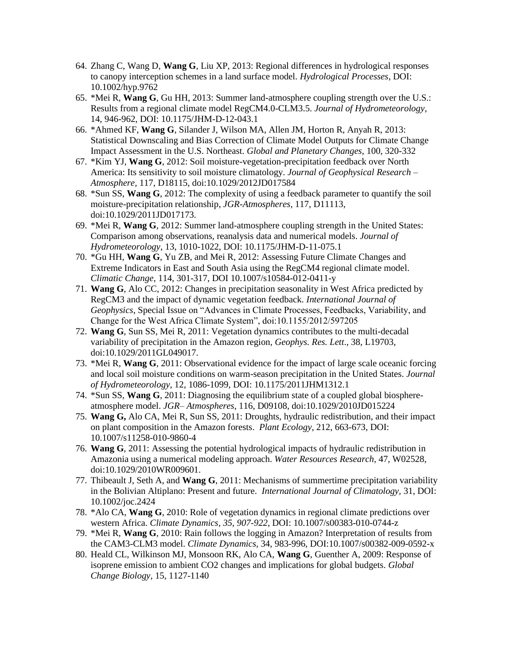- 64. Zhang C, Wang D, **Wang G**, Liu XP, 2013: Regional differences in hydrological responses to canopy interception schemes in a land surface model. *Hydrological Processes*, DOI: 10.1002/hyp.9762
- 65. \*Mei R, **Wang G**, Gu HH, 2013: Summer land-atmosphere coupling strength over the U.S.: Results from a regional climate model RegCM4.0-CLM3.5. *Journal of Hydrometeorology*, 14, 946-962, DOI: 10.1175/JHM-D-12-043.1
- 66. \*Ahmed KF, **Wang G**, Silander J, Wilson MA, Allen JM, Horton R, Anyah R, 2013: Statistical Downscaling and Bias Correction of Climate Model Outputs for Climate Change Impact Assessment in the U.S. Northeast. *Global and Planetary Changes*, 100, 320-332
- 67. \*Kim YJ, **Wang G**, 2012: Soil moisture-vegetation-precipitation feedback over North America: Its sensitivity to soil moisture climatology. *Journal of Geophysical Research – Atmosphere,* 117, D18115, doi:10.1029/2012JD017584
- 68. \*Sun SS, **Wang G**, 2012: The complexity of using a feedback parameter to quantify the soil moisture-precipitation relationship, *JGR-Atmospheres*, 117, D11113, doi:10.1029/2011JD017173.
- 69. \*Mei R, **Wang G**, 2012: Summer land-atmosphere coupling strength in the United States: Comparison among observations, reanalysis data and numerical models. *Journal of Hydrometeorology*, 13, 1010-1022, DOI: 10.1175/JHM-D-11-075.1
- 70. \*Gu HH, **Wang G**, Yu ZB, and Mei R, 2012: Assessing Future Climate Changes and Extreme Indicators in East and South Asia using the RegCM4 regional climate model. *Climatic Change*, 114, 301-317, DOI 10.1007/s10584-012-0411-y
- 71. **Wang G**, Alo CC, 2012: Changes in precipitation seasonality in West Africa predicted by RegCM3 and the impact of dynamic vegetation feedback*. International Journal of Geophysics*, Special Issue on "Advances in Climate Processes, Feedbacks, Variability, and Change for the West Africa Climate System", doi:10.1155/2012/597205
- 72. **Wang G**, Sun SS, Mei R, 2011: Vegetation dynamics contributes to the multi-decadal variability of precipitation in the Amazon region*, Geophys. Res. Lett*., 38, L19703, doi:10.1029/2011GL049017.
- 73. \*Mei R, **Wang G**, 2011: Observational evidence for the impact of large scale oceanic forcing and local soil moisture conditions on warm-season precipitation in the United States. *Journal of Hydrometeorology*, 12, 1086-1099, DOI: 10.1175/2011JHM1312.1
- 74. \*Sun SS, **Wang G**, 2011: Diagnosing the equilibrium state of a coupled global biosphereatmosphere model. *JGR– Atmospheres*, 116, D09108, doi:10.1029/2010JD015224
- 75. **Wang G,** Alo CA, Mei R, Sun SS, 2011: Droughts, hydraulic redistribution, and their impact on plant composition in the Amazon forests. *Plant Ecology,* 212, 663-673, DOI: 10.1007/s11258-010-9860-4
- 76. **Wang G**, 2011: Assessing the potential hydrological impacts of hydraulic redistribution in Amazonia using a numerical modeling approach. *Water Resources Research,* 47, W02528, doi:10.1029/2010WR009601.
- 77. Thibeault J, Seth A, and **Wang G**, 2011: Mechanisms of summertime precipitation variability in the Bolivian Altiplano: Present and future. *International Journal of Climatology,* 31, DOI: 10.1002/joc.2424
- 78. \*Alo CA, **Wang G**, 2010: Role of vegetation dynamics in regional climate predictions over western Africa. *Climate Dynamics, 35, 907-922,* DOI: 10.1007/s00383-010-0744-z
- 79. \*Mei R, **Wang G**, 2010: Rain follows the logging in Amazon? Interpretation of results from the CAM3-CLM3 model. *Climate Dynamics,* 34, 983-996, DOI:10.1007/s00382-009-0592-x
- 80. Heald CL, Wilkinson MJ, Monsoon RK, Alo CA, **Wang G**, Guenther A, 2009: Response of isoprene emission to ambient CO2 changes and implications for global budgets. *Global Change Biology*, 15, 1127-1140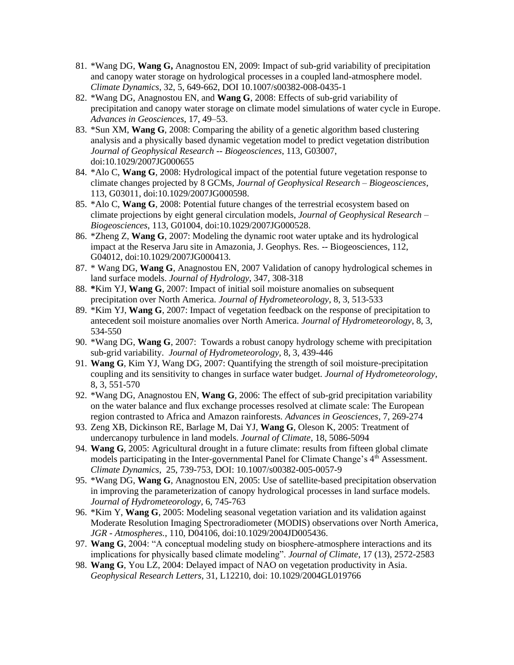- 81. \*Wang DG, **Wang G,** Anagnostou EN, 2009: Impact of sub-grid variability of precipitation and canopy water storage on hydrological processes in a coupled land-atmosphere model. *Climate Dynamics*, 32, 5, 649-662, DOI 10.1007/s00382-008-0435-1
- 82. \*Wang DG, Anagnostou EN, and **Wang G**, 2008: Effects of sub-grid variability of precipitation and canopy water storage on climate model simulations of water cycle in Europe. *Advances in Geosciences*, 17, 49–53.
- 83. \*Sun XM, **Wang G**, 2008: Comparing the ability of a genetic algorithm based clustering analysis and a physically based dynamic vegetation model to predict vegetation distribution *Journal of Geophysical Research -- Biogeosciences*, 113, G03007, doi:10.1029/2007JG000655
- 84. \*Alo C, **Wang G**, 2008: Hydrological impact of the potential future vegetation response to climate changes projected by 8 GCMs, *Journal of Geophysical Research – Biogeosciences*, 113, G03011, doi:10.1029/2007JG000598.
- 85. \*Alo C, **Wang G**, 2008: Potential future changes of the terrestrial ecosystem based on climate projections by eight general circulation models, *Journal of Geophysical Research – Biogeosciences*, 113, G01004, doi:10.1029/2007JG000528.
- 86. \*Zheng Z, **Wang G**, 2007: Modeling the dynamic root water uptake and its hydrological impact at the Reserva Jaru site in Amazonia, J. Geophys. Res. -- Biogeosciences, 112, G04012, doi:10.1029/2007JG000413.
- 87. \* Wang DG, **Wang G**, Anagnostou EN, 2007 Validation of canopy hydrological schemes in land surface models. *Journal of Hydrology,* 347, 308-318
- 88. **\***Kim YJ, **Wang G**, 2007: Impact of initial soil moisture anomalies on subsequent precipitation over North America. *Journal of Hydrometeorology*, 8, 3, 513-533
- 89. \*Kim YJ, **Wang G**, 2007: Impact of vegetation feedback on the response of precipitation to antecedent soil moisture anomalies over North America. *Journal of Hydrometeorology*, 8, 3, 534-550
- 90. \*Wang DG, **Wang G**, 2007: Towards a robust canopy hydrology scheme with precipitation sub-grid variability. *Journal of Hydrometeorology*, 8, 3, 439-446
- 91. **Wang G**, Kim YJ, Wang DG, 2007: Quantifying the strength of soil moisture-precipitation coupling and its sensitivity to changes in surface water budget. *Journal of Hydrometeorology*, 8, 3, 551-570
- 92. \*Wang DG, Anagnostou EN, **Wang G**, 2006: The effect of sub-grid precipitation variability on the water balance and flux exchange processes resolved at climate scale: The European region contrasted to Africa and Amazon rainforests*. Advances in Geosciences*, 7, 269-274
- 93. Zeng XB, Dickinson RE, Barlage M, Dai YJ, **Wang G**, Oleson K, 2005: Treatment of undercanopy turbulence in land models. *Journal of Climate*, 18, 5086-5094
- 94. **Wang G**, 2005: Agricultural drought in a future climate: results from fifteen global climate models participating in the Inter-governmental Panel for Climate Change's 4<sup>th</sup> Assessment. *Climate Dynamics*, 25, 739-753, DOI: 10.1007/s00382-005-0057-9
- 95. \*Wang DG, **Wang G**, Anagnostou EN, 2005: Use of satellite-based precipitation observation in improving the parameterization of canopy hydrological processes in land surface models. *Journal of Hydrometeorology,* 6, 745-763
- 96. \*Kim Y, **Wang G**, 2005: Modeling seasonal vegetation variation and its validation against Moderate Resolution Imaging Spectroradiometer (MODIS) observations over North America, *JGR - Atmospheres.*, 110, D04106, doi:10.1029/2004JD005436.
- 97. **Wang G**, 2004: "A conceptual modeling study on biosphere-atmosphere interactions and its implications for physically based climate modeling". *Journal of Climate*, 17 (13), 2572-2583
- 98. **Wang G**, You LZ, 2004: Delayed impact of NAO on vegetation productivity in Asia. *Geophysical Research Letters*, 31, L12210, doi: 10.1029/2004GL019766